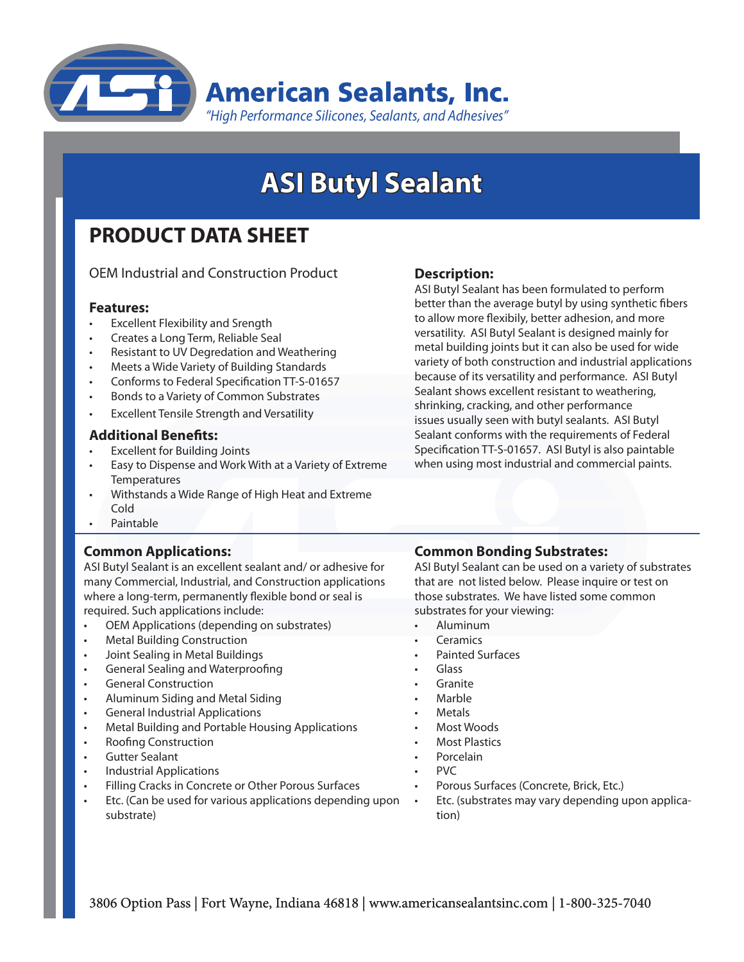

# **ASI Butyl Sealant**

## **PRODUCT DATA SHEET**

OEM Industrial and Construction Product

#### **Features:**

- **Excellent Flexibility and Srength**
- Creates a Long Term, Reliable Seal
- Resistant to UV Degredation and Weathering
- Meets a Wide Variety of Building Standards
- Conforms to Federal Specification TT-S-01657
- Bonds to a Variety of Common Substrates
- **Excellent Tensile Strength and Versatility**

#### **Additional Benefits:**

- **Excellent for Building Joints**
- Easy to Dispense and Work With at a Variety of Extreme **Temperatures**
- Withstands a Wide Range of High Heat and Extreme Cold
- **Paintable**

#### **Common Applications:**

ASI Butyl Sealant is an excellent sealant and/ or adhesive for many Commercial, Industrial, and Construction applications where a long-term, permanently flexible bond or seal is required. Such applications include:

- OEM Applications (depending on substrates)
- **Metal Building Construction**
- Joint Sealing in Metal Buildings
- General Sealing and Waterproofing
- **General Construction**
- Aluminum Siding and Metal Siding
- **General Industrial Applications**
- Metal Building and Portable Housing Applications
- **Roofing Construction**
- **Gutter Sealant**
- **Industrial Applications**
- Filling Cracks in Concrete or Other Porous Surfaces
- Etc. (Can be used for various applications depending upon substrate)

#### **Description:**

ASI Butyl Sealant has been formulated to perform better than the average butyl by using synthetic fibers to allow more flexibily, better adhesion, and more versatility. ASI Butyl Sealant is designed mainly for metal building joints but it can also be used for wide variety of both construction and industrial applications because of its versatility and performance. ASI Butyl Sealant shows excellent resistant to weathering, shrinking, cracking, and other performance issues usually seen with butyl sealants. ASI Butyl Sealant conforms with the requirements of Federal Specification TT-S-01657. ASI Butyl is also paintable when using most industrial and commercial paints.

#### **Common Bonding Substrates:**

ASI Butyl Sealant can be used on a variety of substrates that are not listed below. Please inquire or test on those substrates. We have listed some common substrates for your viewing:

- **Aluminum**
- **Ceramics**
- Painted Surfaces
- Glass
- **Granite**
- **Marble**
- **Metals**
- **Most Woods**
- **Most Plastics**
- **Porcelain**
- PVC
	- Porous Surfaces (Concrete, Brick, Etc.)
- Etc. (substrates may vary depending upon application)